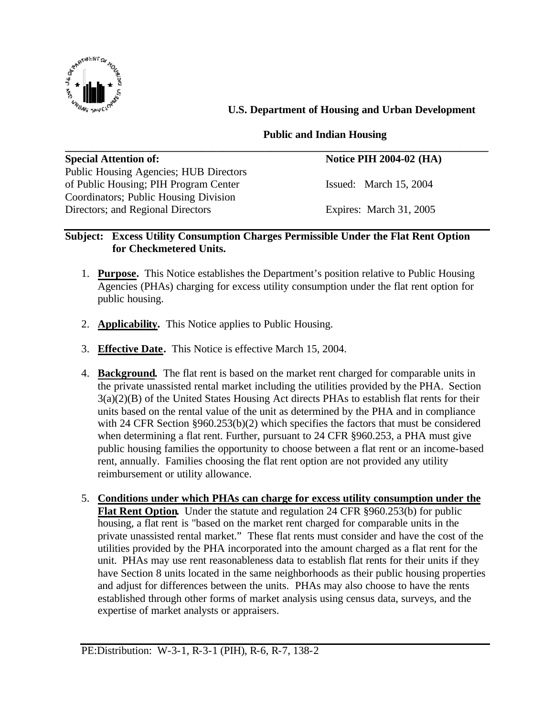

 **U.S. Department of Housing and Urban Development**

## **Public and Indian Housing**

| <b>Notice PIH 2004-02 (HA)</b> |
|--------------------------------|
|                                |
| Issued: March 15, 2004         |
|                                |
|                                |

## **Subject: Excess Utility Consumption Charges Permissible Under the Flat Rent Option for Checkmetered Units.**

- 1. **Purpose.** This Notice establishes the Department's position relative to Public Housing Agencies (PHAs) charging for excess utility consumption under the flat rent option for public housing.
- 2. **Applicability.** This Notice applies to Public Housing.
- 3. **Effective Date.** This Notice is effective March 15, 2004.
- 4. **Background.** The flat rent is based on the market rent charged for comparable units in the private unassisted rental market including the utilities provided by the PHA. Section 3(a)(2)(B) of the United States Housing Act directs PHAs to establish flat rents for their units based on the rental value of the unit as determined by the PHA and in compliance with 24 CFR Section §960.253(b)(2) which specifies the factors that must be considered when determining a flat rent. Further, pursuant to 24 CFR §960.253, a PHA must give public housing families the opportunity to choose between a flat rent or an income-based rent, annually. Families choosing the flat rent option are not provided any utility reimbursement or utility allowance.
- 5. **Conditions under which PHAs can charge for excess utility consumption under the Flat Rent Option.** Under the statute and regulation 24 CFR §960.253(b) for public housing, a flat rent is "based on the market rent charged for comparable units in the private unassisted rental market." These flat rents must consider and have the cost of the utilities provided by the PHA incorporated into the amount charged as a flat rent for the unit. PHAs may use rent reasonableness data to establish flat rents for their units if they have Section 8 units located in the same neighborhoods as their public housing properties and adjust for differences between the units. PHAs may also choose to have the rents established through other forms of market analysis using census data, surveys, and the expertise of market analysts or appraisers.